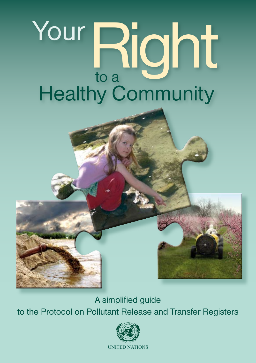# Your Right to a **Healthy Community**

A simplified guide to the Protocol on Pollutant Release and Transfer Registers

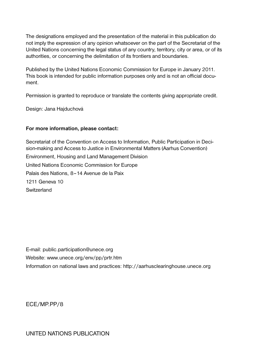The designations employed and the presentation of the material in this publication do not imply the expression of any opinion whatsoever on the part of the Secretariat of the United Nations concerning the legal status of any country, territory, city or area, or of its authorities, or concerning the delimitation of its frontiers and boundaries.

Published by the United Nations Economic Commission for Europe in January 2011. This book is intended for public information purposes only and is not an official document.

Permission is granted to reproduce or translate the contents giving appropriate credit.

Design: Jana Hajduchová

#### **For more information, please contact:**

Secretariat of the Convention on Access to Information, Public Participation in Decision-making and Access to Justice in Environmental Matters (Aarhus Convention) Environment, Housing and Land Management Division United Nations Economic Commission for Europe Palais des Nations, 8–14 Avenue de la Paix 1211 Geneva 10 Switzerland

E-mail: public.participation@unece.org Website: www.unece.org/env/pp/prtr.htm Information on national laws and practices: http://aarhusclearinghouse.unece.org

ECE/MP.PP/8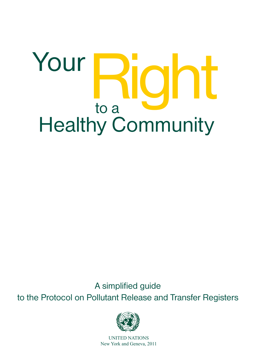# Your Right to a Healthy Community

A simplified guide to the Protocol on Pollutant Release and Transfer Registers



UNITED NATIONS New York and Geneva, 2011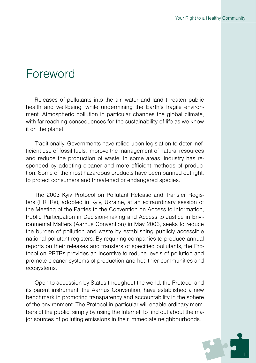## Foreword

Releases of pollutants into the air, water and land threaten public health and well-being, while undermining the Earth's fragile environment. Atmospheric pollution in particular changes the global climate, with far-reaching consequences for the sustainability of life as we know it on the planet.

Traditionally, Governments have relied upon legislation to deter inefficient use of fossil fuels, improve the management of natural resources and reduce the production of waste. In some areas, industry has responded by adopting cleaner and more efficient methods of production. Some of the most hazardous products have been banned outright, to protect consumers and threatened or endangered species.

The 2003 Kyiv Protocol on Pollutant Release and Transfer Registers (PRTRs), adopted in Kyiv, Ukraine, at an extraordinary session of the Meeting of the Parties to the Convention on Access to Information, Public Participation in Decision-making and Access to Justice in Environmental Matters (Aarhus Convention) in May 2003, seeks to reduce the burden of pollution and waste by establishing publicly accessible national pollutant registers. By requiring companies to produce annual reports on their releases and transfers of specified pollutants, the Protocol on PRTRs provides an incentive to reduce levels of pollution and promote cleaner systems of production and healthier communities and ecosystems.

Open to accession by States throughout the world, the Protocol and its parent instrument, the Aarhus Convention, have established a new benchmark in promoting transparency and accountability in the sphere of the environment. The Protocol in particular will enable ordinary members of the public, simply by using the Internet, to find out about the major sources of polluting emissions in their immediate neighbourhoods.

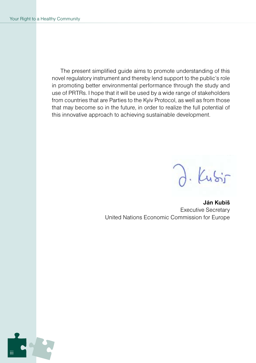The present simplified guide aims to promote understanding of this novel regulatory instrument and thereby lend support to the public's role in promoting better environmental performance through the study and use of PRTRs. I hope that it will be used by a wide range of stakeholders from countries that are Parties to the Kyiv Protocol, as well as from those that may become so in the future, in order to realize the full potential of this innovative approach to achieving sustainable development.

 $ku\ddot{s}$ 

**Ján Kubiš** Executive Secretary United Nations Economic Commission for Europe

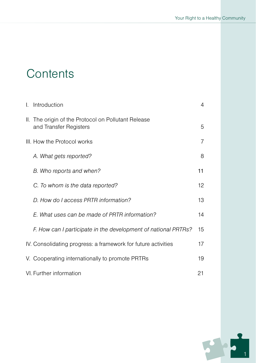## **Contents**

| I.                            | Introduction                                                                  | 4  |  |
|-------------------------------|-------------------------------------------------------------------------------|----|--|
|                               | II. The origin of the Protocol on Pollutant Release<br>and Transfer Registers | 5  |  |
|                               | III. How the Protocol works                                                   |    |  |
|                               | A. What gets reported?                                                        | 8  |  |
|                               | B. Who reports and when?                                                      | 11 |  |
|                               | C. To whom is the data reported?                                              | 12 |  |
|                               | D. How do I access PRTR information?                                          | 13 |  |
|                               | E. What uses can be made of PRTR information?                                 | 14 |  |
|                               | F. How can I participate in the development of national PRTRs?                | 15 |  |
|                               | IV. Consolidating progress: a framework for future activities                 |    |  |
|                               | V. Cooperating internationally to promote PRTRs                               | 19 |  |
| VI. Further information<br>21 |                                                                               |    |  |

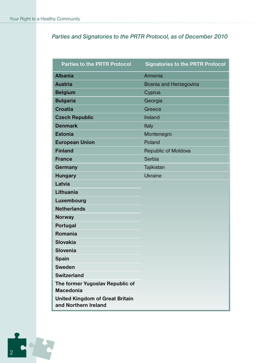#### *Parties and Signatories to the PRTR Protocol, as of December 2010*

| <b>Parties to the PRTR Protocol</b>                            | <b>Signatories to the PRTR Protocol</b> |
|----------------------------------------------------------------|-----------------------------------------|
| <b>Albania</b>                                                 | Armenia                                 |
| <b>Austria</b>                                                 | Bosnia and Herzegovina                  |
| <b>Belgium</b>                                                 | Cyprus                                  |
| <b>Bulgaria</b>                                                | Georgia                                 |
| Croatia                                                        | Greece                                  |
| <b>Czech Republic</b>                                          | Ireland                                 |
| <b>Denmark</b>                                                 | Italy                                   |
| <b>Estonia</b>                                                 | Montenegro                              |
| <b>European Union</b>                                          | Poland                                  |
| <b>Finland</b>                                                 | Republic of Moldova                     |
| <b>France</b>                                                  | Serbia                                  |
| Germany                                                        | Tajikistan                              |
| <b>Hungary</b>                                                 | Ukraine                                 |
| Latvia                                                         |                                         |
| Lithuania                                                      |                                         |
| Luxembourg                                                     |                                         |
| <b>Netherlands</b>                                             |                                         |
| Norway                                                         |                                         |
| Portugal                                                       |                                         |
| Romania                                                        |                                         |
| Slovakia                                                       |                                         |
| Slovenia                                                       |                                         |
| Spain                                                          |                                         |
| <b>Sweden</b>                                                  |                                         |
| <b>Switzerland</b>                                             |                                         |
| The former Yugoslav Republic of<br>Macedonia                   |                                         |
| <b>United Kingdom of Great Britain</b><br>and Northern Ireland |                                         |

EC 15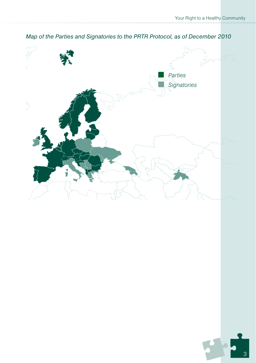

#### *Parties and Signatories to the PRTR Protocol, as of December 2010 Map of the Parties and Signatories to the PRTR Protocol, as of December 2010*

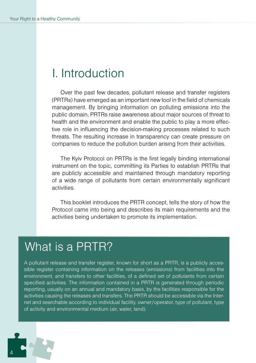### I. Introduction

Over the past few decades, pollutant release and transfer registers (PRTRs) have emerged as an important new tool in the field of chemicals management. By bringing information on polluting emissions into the public domain, PRTRs raise awareness about major sources of threat to health and the environment and enable the public to play a more effective role in influencing the decision-making processes related to such threats. The resulting increase in transparency can create pressure on companies to reduce the pollution burden arising from their activities.

The Kyiv Protocol on PRTRs is the first legally binding international instrument on the topic, committing its Parties to establish PRTRs that are publicly accessible and maintained through mandatory reporting of a wide range of pollutants from certain environmentally significant activities.

This booklet introduces the PRTR concept, tells the story of how the Protocol came into being and describes its main requirements and the activities being undertaken to promote its implementation.

## What is a PRTR?

A pollutant release and transfer register, known for short as a PRTR, is a publicly accessible register containing information on the releases (emissions) from facilities into the environment, and transfers to other facilities, of a defined set of pollutants from certain specified activities. The information contained in a PRTR is generated through periodic reporting, usually on an annual and mandatory basis, by the facilities responsible for the activities causing the releases and transfers. The PRTR should be accessible via the Internet and searchable according to individual facility, owner/operator, type of pollutant, type of activity and environmental medium (air, water, land).

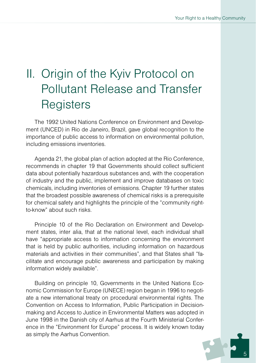# II. Origin of the Kyiv Protocol on Pollutant Release and Transfer **Registers**

The 1992 United Nations Conference on Environment and Development (UNCED) in Rio de Janeiro, Brazil, gave global recognition to the importance of public access to information on environmental pollution, including emissions inventories.

Agenda 21, the global plan of action adopted at the Rio Conference, recommends in chapter 19 that Governments should collect sufficient data about potentially hazardous substances and, with the cooperation of industry and the public, implement and improve databases on toxic chemicals, including inventories of emissions. Chapter 19 further states that the broadest possible awareness of chemical risks is a prerequisite for chemical safety and highlights the principle of the "community rightto-know" about such risks.

Principle 10 of the Rio Declaration on Environment and Development states, inter alia, that at the national level, each individual shall have "appropriate access to information concerning the environment that is held by public authorities, including information on hazardous materials and activities in their communities", and that States shall "facilitate and encourage public awareness and participation by making information widely available".

Building on principle 10, Governments in the United Nations Economic Commission for Europe (UNECE) region began in 1996 to negotiate a new international treaty on procedural environmental rights. The Convention on Access to Information, Public Participation in Decisionmaking and Access to Justice in Environmental Matters was adopted in June 1998 in the Danish city of Aarhus at the Fourth Ministerial Conference in the "Environment for Europe" process. It is widely known today as simply the Aarhus Convention.

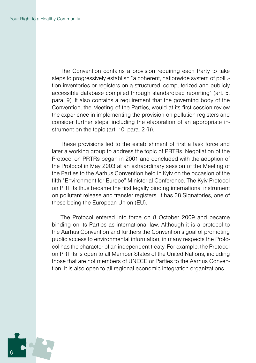The Convention contains a provision requiring each Party to take steps to progressively establish "a coherent, nationwide system of pollution inventories or registers on a structured, computerized and publicly accessible database compiled through standardized reporting" (art. 5, para. 9). It also contains a requirement that the governing body of the Convention, the Meeting of the Parties, would at its first session review the experience in implementing the provision on pollution registers and consider further steps, including the elaboration of an appropriate instrument on the topic (art. 10, para. 2 (i)).

These provisions led to the establishment of first a task force and later a working group to address the topic of PRTRs. Negotiation of the Protocol on PRTRs began in 2001 and concluded with the adoption of the Protocol in May 2003 at an extraordinary session of the Meeting of the Parties to the Aarhus Convention held in Kyiv on the occasion of the fifth "Environment for Europe" Ministerial Conference. The Kyiv Protocol on PRTRs thus became the first legally binding international instrument on pollutant release and transfer registers. It has 38 Signatories, one of these being the European Union (EU).

The Protocol entered into force on 8 October 2009 and became binding on its Parties as international law. Although it is a protocol to the Aarhus Convention and furthers the Convention's goal of promoting public access to environmental information, in many respects the Protocol has the character of an independent treaty. For example, the Protocol on PRTRs is open to all Member States of the United Nations, including those that are not members of UNECE or Parties to the Aarhus Convention. It is also open to all regional economic integration organizations.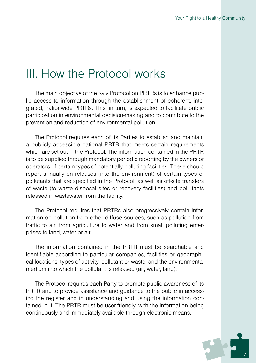## III. How the Protocol works

The main objective of the Kyiv Protocol on PRTRs is to enhance public access to information through the establishment of coherent, integrated, nationwide PRTRs. This, in turn, is expected to facilitate public participation in environmental decision-making and to contribute to the prevention and reduction of environmental pollution.

The Protocol requires each of its Parties to establish and maintain a publicly accessible national PRTR that meets certain requirements which are set out in the Protocol. The information contained in the PRTR is to be supplied through mandatory periodic reporting by the owners or operators of certain types of potentially polluting facilities. These should report annually on releases (into the environment) of certain types of pollutants that are specified in the Protocol, as well as off-site transfers of waste (to waste disposal sites or recovery facilities) and pollutants released in wastewater from the facility.

The Protocol requires that PRTRs also progressively contain information on pollution from other diffuse sources, such as pollution from traffic to air, from agriculture to water and from small polluting enterprises to land, water or air.

The information contained in the PRTR must be searchable and identifiable according to particular companies, facilities or geographical locations; types of activity, pollutant or waste; and the environmental medium into which the pollutant is released (air, water, land).

The Protocol requires each Party to promote public awareness of its PRTR and to provide assistance and guidance to the public in accessing the register and in understanding and using the information contained in it. The PRTR must be user-friendly, with the information being continuously and immediately available through electronic means.

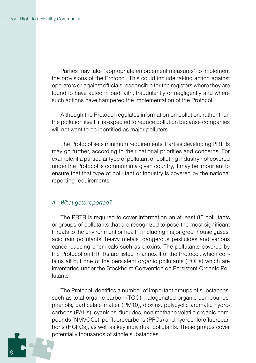Parties may take "appropriate enforcement measures" to implement the provisions of the Protocol. This could include taking action against operators or against officials responsible for the registers where they are found to have acted in bad faith, fraudulently or negligently and where such actions have hampered the implementation of the Protocol.

Although the Protocol regulates information on pollution, rather than the pollution itself, it is expected to reduce pollution because companies will not want to be identified as major polluters.

The Protocol sets minimum requirements. Parties developing PRTRs may go further, according to their national priorities and concerns. For example, if a particular type of pollutant or polluting industry not covered under the Protocol is common in a given country, it may be important to ensure that that type of pollutant or industry is covered by the national reporting requirements.

#### *A. What gets reported?*

The PRTR is required to cover information on at least 86 pollutants or groups of pollutants that are recognized to pose the most significant threats to the environment or health, including major greenhouse gases, acid rain pollutants, heavy metals, dangerous pesticides and various cancer-causing chemicals such as dioxins. The pollutants covered by the Protocol on PRTRs are listed in annex II of the Protocol, which contains all but one of the persistent organic pollutants (POPs) which are inventoried under the Stockholm Convention on Persistent Organic Pollutants.

The Protocol identifies a number of important groups of substances, such as total organic carbon (TOC), halogenated organic compounds, phenols, particulate matter (PM10), dioxins, polycyclic aromatic hydrocarbons (PAHs), cyanides, fluorides, non-methane volatile organic compounds (NMVOCs), perfluorocarbons (PFCs) and hydrochlorofluorocarbons (HCFCs), as well as key individual pollutants. These groups cover potentially thousands of single substances.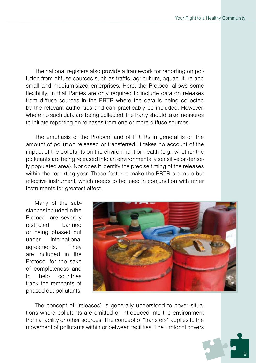The national registers also provide a framework for reporting on pollution from diffuse sources such as traffic, agriculture, aquaculture and small and medium-sized enterprises. Here, the Protocol allows some flexibility, in that Parties are only required to include data on releases from diffuse sources in the PRTR where the data is being collected by the relevant authorities and can practicably be included. However, where no such data are being collected, the Party should take measures to initiate reporting on releases from one or more diffuse sources.

The emphasis of the Protocol and of PRTRs in general is on the amount of pollution released or transferred. It takes no account of the impact of the pollutants on the environment or health (e.g., whether the pollutants are being released into an environmentally sensitive or densely populated area). Nor does it identify the precise timing of the releases within the reporting year. These features make the PRTR a simple but effective instrument, which needs to be used in conjunction with other instruments for greatest effect.

Many of the substances included in the Protocol are severely restricted, banned or being phased out under international agreements. They are included in the Protocol for the sake of completeness and to help countries track the remnants of phased-out pollutants.



The concept of "releases" is generally understood to cover situations where pollutants are emitted or introduced into the environment from a facility or other sources. The concept of "transfers" applies to the movement of pollutants within or between facilities. The Protocol covers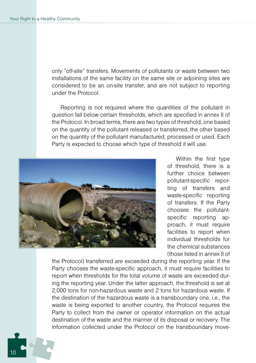only "off-site" transfers. Movements of pollutants or waste between two installations of the same facility on the same site or adjoining sites are considered to be an on-site transfer, and are not subject to reporting under the Protocol.

Reporting is not required where the quantities of the pollutant in question fall below certain thresholds, which are specified in annex II of the Protocol. In broad terms, there are two types of threshold, one based on the quantity of the pollutant released or transferred, the other based on the quantity of the pollutant manufactured, processed or used. Each Party is expected to choose which type of threshold it will use.



Within the first type of threshold, there is a further choice between pollutant-specific reporting of transfers and waste-specific reporting of transfers. If the Party chooses the pollutantspecific reporting approach, it must require facilities to report when individual thresholds for the chemical substances (those listed in annex II of

the Protocol) transferred are exceeded during the reporting year. If the Party chooses the waste-specific approach, it must require facilities to report when thresholds for the total volume of waste are exceeded during the reporting year. Under the latter approach, the threshold is set at 2,000 tons for non-hazardous waste and 2 tons for hazardous waste. If the destination of the hazardous waste is a transboundary one, i.e., the waste is being exported to another country, the Protocol requires the Party to collect from the owner or operator information on the actual destination of the waste and the manner of its disposal or recovery. The information collected under the Protocol on the transboundary move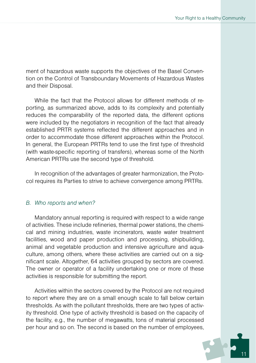ment of hazardous waste supports the objectives of the Basel Convention on the Control of Transboundary Movements of Hazardous Wastes and their Disposal.

While the fact that the Protocol allows for different methods of reporting, as summarized above, adds to its complexity and potentially reduces the comparability of the reported data, the different options were included by the negotiators in recognition of the fact that already established PRTR systems reflected the different approaches and in order to accommodate those different approaches within the Protocol. In general, the European PRTRs tend to use the first type of threshold (with waste-specific reporting of transfers), whereas some of the North American PRTRs use the second type of threshold.

In recognition of the advantages of greater harmonization, the Protocol requires its Parties to strive to achieve convergence among PRTRs.

#### *B. Who reports and when?*

Mandatory annual reporting is required with respect to a wide range of activities. These include refineries, thermal power stations, the chemical and mining industries, waste incinerators, waste water treatment facilities, wood and paper production and processing, shipbuilding, animal and vegetable production and intensive agriculture and aquaculture, among others, where these activities are carried out on a significant scale. Altogether, 64 activities grouped by sectors are covered. The owner or operator of a facility undertaking one or more of these activities is responsible for submitting the report.

Activities within the sectors covered by the Protocol are not required to report where they are on a small enough scale to fall below certain thresholds. As with the pollutant thresholds, there are two types of activity threshold. One type of activity threshold is based on the capacity of the facility, e.g., the number of megawatts, tons of material processed per hour and so on. The second is based on the number of employees,

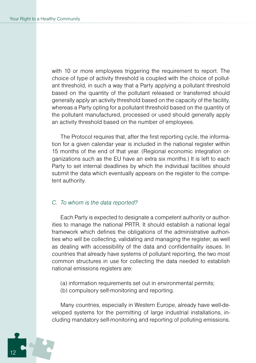with 10 or more employees triggering the requirement to report. The choice of type of activity threshold is coupled with the choice of pollutant threshold, in such a way that a Party applying a pollutant threshold based on the quantity of the pollutant released or transferred should generally apply an activity threshold based on the capacity of the facility, whereas a Party opting for a pollutant threshold based on the quantity of the pollutant manufactured, processed or used should generally apply an activity threshold based on the number of employees.

The Protocol requires that, after the first reporting cycle, the information for a given calendar year is included in the national register within 15 months of the end of that year. (Regional economic integration organizations such as the EU have an extra six months.) It is left to each Party to set internal deadlines by which the individual facilities should submit the data which eventually appears on the register to the competent authority.

#### *C. To whom is the data reported?*

Each Party is expected to designate a competent authority or authorities to manage the national PRTR. It should establish a national legal framework which defines the obligations of the administrative authorities who will be collecting, validating and managing the register, as well as dealing with accessibility of the data and confidentiality issues. In countries that already have systems of pollutant reporting, the two most common structures in use for collecting the data needed to establish national emissions registers are:

(a) information requirements set out in environmental permits;

(b) compulsory self-monitoring and reporting.

Many countries, especially in Western Europe, already have well-developed systems for the permitting of large industrial installations, including mandatory self-monitoring and reporting of polluting emissions.

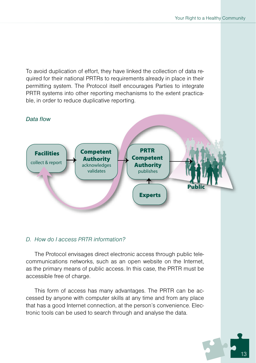To avoid duplication of effort, they have linked the collection of data required for their national PRTRs to requirements already in place in their permitting system. The Protocol itself encourages Parties to integrate PRTR systems into other reporting mechanisms to the extent practicable, in order to reduce duplicative reporting.



#### *D. How do I access PRTR information?*

The Protocol envisages direct electronic access through public telecommunications networks, such as an open website on the Internet, as the primary means of public access. In this case, the PRTR must be accessible free of charge.

This form of access has many advantages. The PRTR can be accessed by anyone with computer skills at any time and from any place that has a good Internet connection, at the person's convenience. Electronic tools can be used to search through and analyse the data.

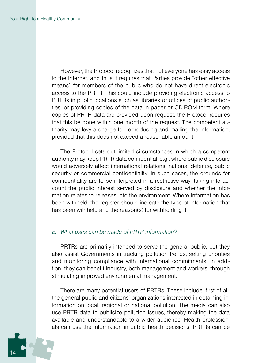However, the Protocol recognizes that not everyone has easy access to the Internet, and thus it requires that Parties provide "other effective means" for members of the public who do not have direct electronic access to the PRTR. This could include providing electronic access to PRTRs in public locations such as libraries or offices of public authorities, or providing copies of the data in paper or CD-ROM form. Where copies of PRTR data are provided upon request, the Protocol requires that this be done within one month of the request. The competent authority may levy a charge for reproducing and mailing the information, provided that this does not exceed a reasonable amount.

The Protocol sets out limited circumstances in which a competent authority may keep PRTR data confidential, e.g., where public disclosure would adversely affect international relations, national defence, public security or commercial confidentiality. In such cases, the grounds for confidentiality are to be interpreted in a restrictive way, taking into account the public interest served by disclosure and whether the information relates to releases into the environment. Where information has been withheld, the register should indicate the type of information that has been withheld and the reason(s) for withholding it.

#### *E. What uses can be made of PRTR information?*

PRTRs are primarily intended to serve the general public, but they also assist Governments in tracking pollution trends, setting priorities and monitoring compliance with international commitments. In addition, they can benefit industry, both management and workers, through stimulating improved environmental management.

There are many potential users of PRTRs. These include, first of all, the general public and citizens' organizations interested in obtaining information on local, regional or national pollution. The media can also use PRTR data to publicize pollution issues, thereby making the data available and understandable to a wider audience. Health professionals can use the information in public health decisions. PRTRs can be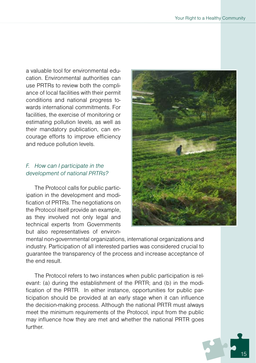a valuable tool for environmental education. Environmental authorities can use PRTRs to review both the compliance of local facilities with their permit conditions and national progress towards international commitments. For facilities, the exercise of monitoring or estimating pollution levels, as well as their mandatory publication, can encourage efforts to improve efficiency and reduce pollution levels.

#### *F. How can I participate in the development of national PRTRs?*

The Protocol calls for public participation in the development and modification of PRTRs. The negotiations on the Protocol itself provide an example, as they involved not only legal and technical experts from Governments but also representatives of environ-



mental non-governmental organizations, international organizations and industry. Participation of all interested parties was considered crucial to guarantee the transparency of the process and increase acceptance of the end result.

The Protocol refers to two instances when public participation is relevant: (a) during the establishment of the PRTR; and (b) in the modification of the PRTR. In either instance, opportunities for public participation should be provided at an early stage when it can influence the decision-making process. Although the national PRTR must always meet the minimum requirements of the Protocol, input from the public may influence how they are met and whether the national PRTR goes further.

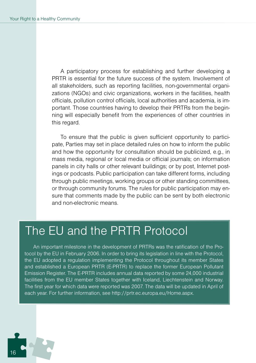A participatory process for establishing and further developing a PRTR is essential for the future success of the system. Involvement of all stakeholders, such as reporting facilities, non-governmental organizations (NGOs) and civic organizations, workers in the facilities, health officials, pollution control officials, local authorities and academia, is important. Those countries having to develop their PRTRs from the beginning will especially benefit from the experiences of other countries in this regard.

To ensure that the public is given sufficient opportunity to participate, Parties may set in place detailed rules on how to inform the public and how the opportunity for consultation should be publicized, e.g., in mass media, regional or local media or official journals; on information panels in city halls or other relevant buildings; or by post, Internet postings or podcasts. Public participation can take different forms, including through public meetings, working groups or other standing committees, or through community forums. The rules for public participation may ensure that comments made by the public can be sent by both electronic and non-electronic means.

## The EU and the PRTR Protocol

An important milestone in the development of PRTRs was the ratification of the Protocol by the EU in February 2006. In order to bring its legislation in line with the Protocol, the EU adopted a regulation implementing the Protocol throughout its member States and established a European PRTR (E-PRTR) to replace the former European Pollutant Emission Register. The E-PRTR includes annual data reported by some 24,000 industrial facilities from the EU member States together with Iceland, Liechtenstein and Norway. The first year for which data were reported was 2007. The data will be updated in April of each year. For further information, see http://prtr.ec.europa.eu/Home.aspx.

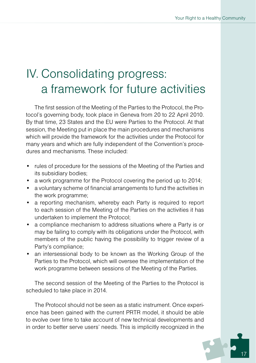# IV. Consolidating progress: a framework for future activities

The first session of the Meeting of the Parties to the Protocol, the Protocol's governing body, took place in Geneva from 20 to 22 April 2010. By that time, 23 States and the EU were Parties to the Protocol. At that session, the Meeting put in place the main procedures and mechanisms which will provide the framework for the activities under the Protocol for many years and which are fully independent of the Convention's procedures and mechanisms. These included:

- rules of procedure for the sessions of the Meeting of the Parties and its subsidiary bodies;
- a work programme for the Protocol covering the period up to 2014;
- a voluntary scheme of financial arrangements to fund the activities in the work programme;
- a reporting mechanism, whereby each Party is required to report to each session of the Meeting of the Parties on the activities it has undertaken to implement the Protocol;
- a compliance mechanism to address situations where a Party is or may be failing to comply with its obligations under the Protocol, with members of the public having the possibility to trigger review of a Party's compliance;
- an intersessional body to be known as the Working Group of the Parties to the Protocol, which will oversee the implementation of the work programme between sessions of the Meeting of the Parties.

The second session of the Meeting of the Parties to the Protocol is scheduled to take place in 2014.

The Protocol should not be seen as a static instrument. Once experience has been gained with the current PRTR model, it should be able to evolve over time to take account of new technical developments and in order to better serve users' needs. This is implicitly recognized in the

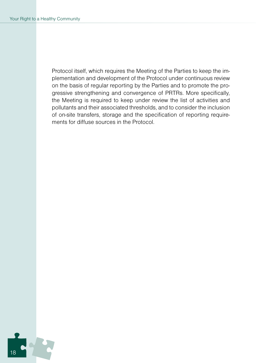Protocol itself, which requires the Meeting of the Parties to keep the implementation and development of the Protocol under continuous review on the basis of regular reporting by the Parties and to promote the progressive strengthening and convergence of PRTRs. More specifically, the Meeting is required to keep under review the list of activities and pollutants and their associated thresholds, and to consider the inclusion of on-site transfers, storage and the specification of reporting requirements for diffuse sources in the Protocol.

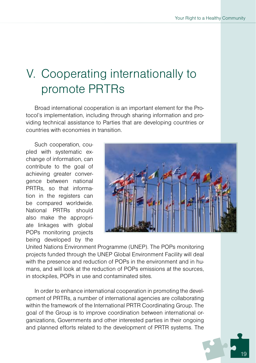# V. Cooperating internationally to promote PRTRs

Broad international cooperation is an important element for the Protocol's implementation, including through sharing information and providing technical assistance to Parties that are developing countries or countries with economies in transition.

Such cooperation, coupled with systematic exchange of information, can contribute to the goal of achieving greater convergence between national PRTRs, so that information in the registers can be compared worldwide. National PRTRs should also make the appropriate linkages with global POPs monitoring projects being developed by the



United Nations Environment Programme (UNEP). The POPs monitoring projects funded through the UNEP Global Environment Facility will deal with the presence and reduction of POPs in the environment and in humans, and will look at the reduction of POPs emissions at the sources, in stockpiles, POPs in use and contaminated sites.

In order to enhance international cooperation in promoting the development of PRTRs, a number of international agencies are collaborating within the framework of the International PRTR Coordinating Group. The goal of the Group is to improve coordination between international organizations, Governments and other interested parties in their ongoing and planned efforts related to the development of PRTR systems. The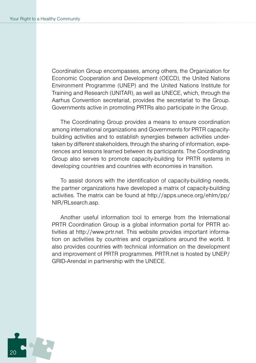Coordination Group encompasses, among others, the Organization for Economic Cooperation and Development (OECD), the United Nations Environment Programme (UNEP) and the United Nations Institute for Training and Research (UNITAR), as well as UNECE, which, through the Aarhus Convention secretariat, provides the secretariat to the Group. Governments active in promoting PRTRs also participate in the Group.

The Coordinating Group provides a means to ensure coordination among international organizations and Governments for PRTR capacitybuilding activities and to establish synergies between activities undertaken by different stakeholders, through the sharing of information, experiences and lessons learned between its participants. The Coordinating Group also serves to promote capacity-building for PRTR systems in developing countries and countries with economies in transition.

To assist donors with the identification of capacity-building needs, the partner organizations have developed a matrix of capacity-building activities. The matrix can be found at http://apps.unece.org/ehlm/pp/ NIR/RLsearch.asp.

Another useful information tool to emerge from the International PRTR Coordination Group is a global information portal for PRTR activities at http://www.prtr.net. This website provides important information on activities by countries and organizations around the world. It also provides countries with technical information on the development and improvement of PRTR programmes. PRTR.net is hosted by UNEP/ GRID-Arendal in partnership with the UNECE.

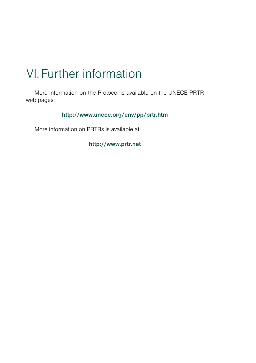## VI.Further information

More information on the Protocol is available on the UNECE PRTR web pages:

**http://www.unece.org/env/pp/prtr.htm**

More information on PRTRs is available at:

**http://www.prtr.net**